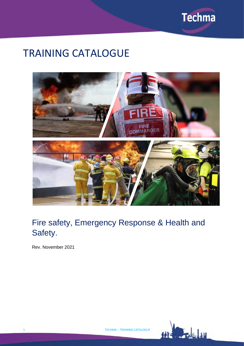

# TRAINING CATALOGUE



# Fire safety, Emergency Response & Health and Safety.

Rev. November 2021

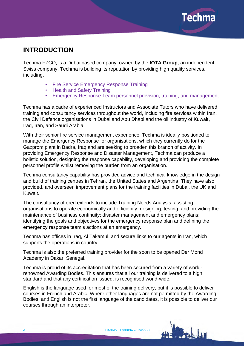

# **INTRODUCTION**

Techma FZCO, is a Dubai based company, owned by the **[IOTA Group](http://www.iota-group.com/)**, an independent Swiss company. Techma is building its reputation by providing high quality services, including.

- Fire Service Emergency Response Training
- Health and Safety Training
- Emergency Response Team personnel provision, training, and management.

Techma has a cadre of experienced Instructors and Associate Tutors who have delivered training and consultancy services throughout the world, including fire services within Iran, the Civil Defence organisations in Dubai and Abu Dhabi and the oil industry of Kuwait, Iraq, Iran, and Saudi Arabia.

With their senior fire service management experience, Techma is ideally positioned to manage the Emergency Response for organisations, which they currently do for the Gazprom plant in Badra, Iraq and are seeking to broaden this branch of activity. In providing Emergency Response and Disaster Management, Techma can produce a holistic solution, designing the response capability, developing and providing the complete personnel profile whilst removing the burden from an organisation.

Techma consultancy capability has provided advice and technical knowledge in the design and build of training centres in Tehran, the United States and Argentina. They have also provided, and overseen improvement plans for the training facilities in Dubai, the UK and Kuwait.

The consultancy offered extends to include Training Needs Analysis, assisting organisations to operate economically and efficiently; designing, testing, and providing the maintenance of business continuity; disaster management and emergency plans; identifying the goals and objectives for the emergency response plan and defining the emergency response team's actions at an emergency.

Techma has offices in Iraq, Al Takamul, and secure links to our agents in Iran, which supports the operations in country.

Techma is also the preferred training provider for the soon to be opened Der Mond Academy in Dakar, Senegal.

Techma is proud of its accreditation that has been secured from a variety of worldrenowned Awarding Bodies. This ensures that all our training is delivered to a high standard and that any certification issued, is recognised world-wide.

English is the language used for most of the training delivery, but it is possible to deliver courses in French and Arabic. Where other languages are not permitted by the Awarding Bodies, and English is not the first language of the candidates, it is possible to deliver our courses through an interpreter.

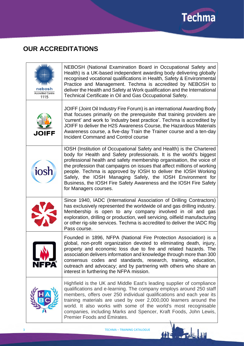

# **OUR ACCREDITATIONS**

| nebosh<br><b>Accredited Centre</b><br>1115 | NEBOSH (National Examination Board in Occupational Safety and<br>Health) is a UK-based independent awarding body delivering globally<br>recognised vocational qualifications in Health, Safety & Environmental<br>Practice and Management. Techma is accredited by NEBOSH to<br>deliver the Health and Safety at Work qualification and the International<br>Technical Certificate in Oil and Gas Occupational Safety.                                                                                                        |
|--------------------------------------------|-------------------------------------------------------------------------------------------------------------------------------------------------------------------------------------------------------------------------------------------------------------------------------------------------------------------------------------------------------------------------------------------------------------------------------------------------------------------------------------------------------------------------------|
| <b>JOIFF</b>                               | JOIFF (Joint Oil Industry Fire Forum) is an international Awarding Body<br>that focuses primarily on the prerequisite that training providers are<br>'current' and work to 'industry best practice'. Techma is accredited by<br>JOIFF to deliver the H2S Awareness Course, the Hazardous Materials<br>Awareness course, a five-day Train the Trainer course and a ten-day<br><b>Incident Command and Control course</b>                                                                                                       |
| iosh                                       | IOSH (Institution of Occupational Safety and Health) is the Chartered<br>body for Health and Safety professionals. It is the world's biggest<br>professional health and safety membership organisation, the voice of<br>the profession that campaigns on issues that affect millions of working<br>people. Techma is approved by IOSH to deliver the IOSH Working<br>Safely, the IOSH Managing Safely, the IOSH Environment for<br>Business, the IOSH Fire Safety Awareness and the IOSH Fire Safety<br>for Managers courses. |
| E.                                         | Since 1940, IADC (International Association of Drilling Contractors)<br>has exclusively represented the worldwide oil and gas drilling industry.<br>Membership is open to any company involved in oil and gas<br>exploration, drilling or production, well servicing, oilfield manufacturing<br>or other rig-site services. Techma is accredited to deliver the IADC Rig<br>Pass course.                                                                                                                                      |
| <b>NFPA</b> ®                              | Founded in 1896, NFPA (National Fire Protection Association) is a<br>global, non-profit organization devoted to eliminating death, injury,<br>property and economic loss due to fire and related hazards. The<br>association delivers information and knowledge through more than 300<br>consensus codes and standards, research, training, education,<br>outreach and advocacy; and by partnering with others who share an<br>interest in furthering the NFPA mission.                                                       |
|                                            | Highfield is the UK and Middle East's leading supplier of compliance<br>qualifications and e-learning. The company employs around 250 staff<br>members, offers over 250 individual qualifications and each year its<br>training materials are used by over 2,000,000 learners around the<br>world. It also works with some of the world's most recognisable<br>companies, including Marks and Spencer, Kraft Foods, John Lewis,<br><b>Premier Foods and Emirates.</b>                                                         |

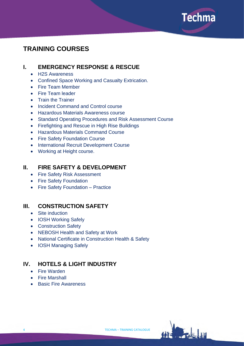

# **TRAINING COURSES**

# **I. EMERGENCY RESPONSE & RESCUE**

- H2S Awareness
- Confined Space Working and Casualty Extrication.
- Fire Team Member
- Fire Team leader
- Train the Trainer
- Incident Command and Control course
- Hazardous Materials Awareness course
- Standard Operating Procedures and Risk Assessment Course
- Firefighting and Rescue in High Rise Buildings
- Hazardous Materials Command Course
- Fire Safety Foundation Course
- International Recruit Development Course
- Working at Height course.

# **II. FIRE SAFETY & DEVELOPMENT**

- Fire Safety Risk Assessment
- Fire Safety Foundation
- Fire Safety Foundation Practice

# **III. CONSTRUCTION SAFETY**

- Site induction
- IOSH Working Safely
- Construction Safety
- NEBOSH Health and Safety at Work
- National Certificate in Construction Health & Safety
- IOSH Managing Safely

# **IV. HOTELS & LIGHT INDUSTRY**

- Fire Warden
- Fire Marshall
- Basic Fire Awareness

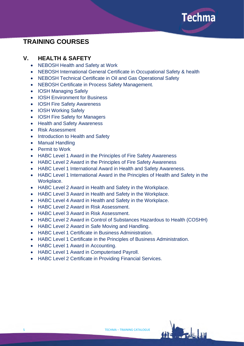

# **TRAINING COURSES**

# **V. HEALTH & SAFETY**

- NEBOSH Health and Safety at Work
- NEBOSH International General Certificate in Occupational Safety & health
- NEBOSH Technical Certificate in Oil and Gas Operational Safety
- NEBOSH Certificate in Process Safety Management.
- IOSH Managing Safely
- IOSH Environment for Business
- IOSH Fire Safety Awareness
- IOSH Working Safely
- IOSH Fire Safety for Managers
- Health and Safety Awareness
- Risk Assessment
- Introduction to Health and Safety
- Manual Handling
- Permit to Work
- HABC Level 1 Award in the Principles of Fire Safety Awareness
- HABC Level 2 Award in the Principles of Fire Safety Awareness
- HABC Level 1 International Award in Health and Safety Awareness.
- HABC Level 1 International Award in the Principles of Health and Safety in the Workplace.
- HABC Level 2 Award in Health and Safety in the Workplace.
- HABC Level 3 Award in Health and Safety in the Workplace.
- HABC Level 4 Award in Health and Safety in the Workplace.
- HABC Level 2 Award in Risk Assessment.
- HABC Level 3 Award in Risk Assessment.
- HABC Level 2 Award in Control of Substances Hazardous to Health (COSHH)
- HABC Level 2 Award in Safe Moving and Handling.
- HABC Level 1 Certificate in Business Administration.
- HABC Level 1 Certificate in the Principles of Business Administration.
- HABC Level 1 Award in Accounting.
- HABC Level 1 Award in Computerised Payroll.
- HABC Level 2 Certificate in Providing Financial Services.

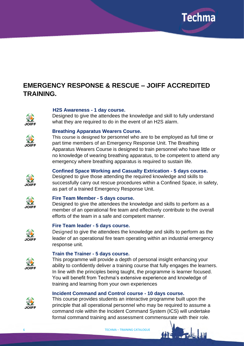

# **EMERGENCY RESPONSE & RESCUE – JOIFF ACCREDITED TRAINING.**



### **H2S Awareness - 1 day course.**

Designed to give the attendees the knowledge and skill to fully understand what they are required to do in the event of an H2S alarm.



#### **Breathing Apparatus Wearers Course.**

This course is designed for personnel who are to be employed as full time or part time members of an Emergency Response Unit. The Breathing Apparatus Wearers Course is designed to train personnel who have little or no knowledge of wearing breathing apparatus, to be competent to attend any emergency where breathing apparatus is required to sustain life.

### **Confined Space Working and Casualty Extrication - 5 days course.**

Designed to give those attending the required knowledge and skills to successfully carry out rescue procedures within a Confined Space, in safety, as part of a trained Emergency Response Unit.



**JOIFF** 

#### **Fire Team Member - 5 days course.**

Designed to give the attendees the knowledge and skills to perform as a member of an operational fire team and effectively contribute to the overall efforts of the team in a safe and competent manner.



#### **Fire Team leader - 5 days course.**

Designed to give the attendees the knowledge and skills to perform as the leader of an operational fire team operating within an industrial emergency response unit.



#### **Train the Trainer - 5 days course.**

This programme will provide a depth of personal insight enhancing your ability to confidently deliver a training course that fully engages the learners. In line with the principles being taught, the programme is learner focused. You will benefit from Techma's extensive experience and knowledge of training and learning from your own experiences

### **Incident Command and Control course - 10 days course.**



This course provides students an interactive programme built upon the principle that all operational personnel who may be required to assume a command role within the Incident Command System (ICS) will undertake formal command training and assessment commensurate with their role.

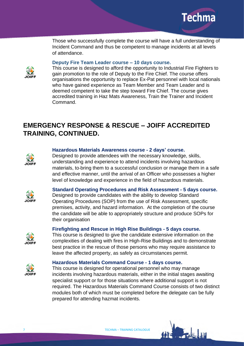

Those who successfully complete the course will have a full understanding of Incident Command and thus be competent to manage incidents at all levels of attendance.

#### **Deputy Fire Team Leader course – 10 days course.**



This course is designed to afford the opportunity to Industrial Fire Fighters to gain promotion to the role of Deputy to the Fire Chief. The course offers organisations the opportunity to replace Ex-Pat personnel with local nationals who have gained experience as Team Member and Team Leader and is deemed competent to take the step toward Fire Chief. The course gives accredited training in Haz Mats Awareness, Train the Trainer and Incident Command.

# **EMERGENCY RESPONSE & RESCUE – JOIFF ACCREDITED TRAINING, CONTINUED.**



#### **Hazardous Materials Awareness course - 2 days' course.**

Designed to provide attendees with the necessary knowledge, skills, understanding and experience to attend incidents involving hazardous materials, to bring them to a successful conclusion or manage them in a safe and effective manner, until the arrival of an Officer who possesses a higher level of knowledge and experience in the field of hazardous materials.



**Standard Operating Procedures and Risk Assessment - 5 days course.**

Designed to provide candidates with the ability to develop Standard Operating Procedures (SOP) from the use of Risk Assessment, specific premises, activity, and hazard information. At the completion of the course the candidate will be able to appropriately structure and produce SOPs for their organisation

### **Firefighting and Rescue in High Rise Buildings - 5 days course.**

This course is designed to give the candidate extensive information on the complexities of dealing with fires in High-Rise Buildings and to demonstrate best practice in the rescue of those persons who may require assistance to leave the affected property, as safely as circumstances permit.



 $IOIF$ 

#### **Hazardous Materials Command Course - 1 days course.**

This course is designed for operational personnel who may manage incidents involving hazardous materials, either in the initial stages awaiting specialist support or for those situations where additional support is not required. The Hazardous Materials Command Course consists of two distinct modules both of which must be completed before the delegate can be fully prepared for attending hazmat incidents.

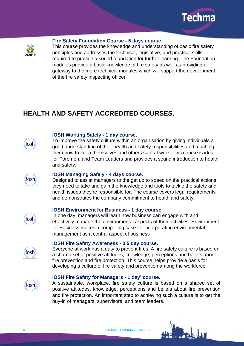



#### **Fire Safety Foundation Course - 5 days course.**

This course provides the knowledge and understanding of basic fire safety principles and addresses the technical, legislative, and practical skills required to provide a sound foundation for further learning. The Foundation modules provide a basic knowledge of fire safety as well as providing a gateway to the more technical modules which will support the development of the fire safety inspecting officer.

# **HEALTH AND SAFETY ACCREDITED COURSES.**



#### **IOSH Working Safely - 1 day course.**

To improve the safety culture within an organisation by giving individuals a good understanding of their health and safety responsibilities and teaching them how to keep themselves and others safe at work. This course is ideal for Foremen, and Team Leaders and provides a sound introduction to health and safety.



#### **IOSH Managing Safely - 4 days course.**

Designed to assist managers to the get up to speed on the practical actions they need to take and gain the knowledge and tools to tackle the safety and health issues they're responsible for. The course covers legal requirements and demonstrates the company commitment to health and safety.



#### **IOSH Environment for Business - 1 day course.**

In one day, managers will learn how business can engage with and effectively manage the environmental aspects of their activities. Environment for Busines*s* makes a compelling case for incorporating environmental management as a central aspect of business



iosh

#### **IOSH Fire Safety Awareness - 0.5 day course.**

Everyone at work has a duty to prevent fires. A fire safety culture is based on a shared set of positive attitudes, knowledge, perceptions and beliefs about fire prevention and fire protection. This course helps provide a basis for developing a culture of fire safety and prevention among the workforce.

#### **IOSH Fire Safety for Managers - 1 day' course.**

A sustainable, workplace, fire safety culture is based on a shared set of positive attitudes, knowledge, perceptions and beliefs about fire prevention and fire protection. An important step to achieving such a culture is to get the buy-in of managers, supervisors, and team leaders.

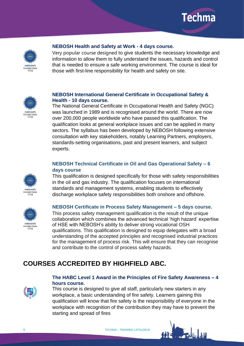



#### **NEBOSH Health and Safety at Work - 4 days course.**

Very popular course designed to give students the necessary knowledge and information to allow them to fully understand the issues, hazards and control that is needed to ensure a safe working environment. The course is ideal for those with first-line responsibility for health and safety on site.



### **NEBOSH International General Certificate in Occupational Safety & Health - 10 days course.**

The National General Certificate in Occupational Health and Safety (NGC) was launched in 1989 and is recognised around the world. There are now over 200,000 people worldwide who have passed this qualification. The qualification looks at general workplace issues and can be applied in many sectors. The syllabus has been developed by NEBOSH following extensive consultation with key stakeholders, notably Learning Partners, employers, standards-setting organisations, past and present learners, and subject experts.

# **NEBOSH Technical Certificate in Oil and Gas Operational Safety – 6 days course**

This qualification is designed specifically for those with safety responsibilities in the oil and gas industry. The qualification focuses on international standards and management systems, enabling students to effectively discharge workplace safety responsibilities both onshore and offshore.



nebosh **Accredited Centre** 1115

#### **NEBOSH Certificate in Process Safety Management – 5 days course.**

This process safety management qualification is the result of the unique collaboration which combines the advanced technical 'high hazard' expertise of HSE with NEBOSH's ability to deliver strong vocational OSH qualifications. This qualification is designed to equip delegates with a broad understanding of the accepted principles and recognised industrial practices for the management of process risk. This will ensure that they can recognise and contribute to the control of process safety hazards.

# **COURSES ACCREDITED BY HIGHFIELD ABC.**



#### **The HABC Level 1 Award in the Principles of Fire Safety Awareness – 4 hours course.**

This course is designed to give all staff, particularly new starters in any workplace, a basic understanding of fire safety. Learners gaining this qualification will know that fire safety is the responsibility of everyone in the workplace with recognition of the contribution they may have to prevent the starting and spread of fires



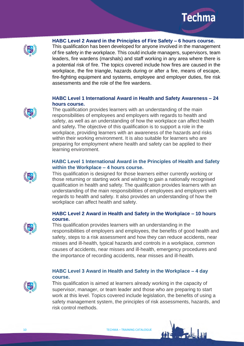



**HABC Level 2 Award in the Principles of Fire Safety – 6 hours course.**

This qualification has been developed for anyone involved in the management of fire safety in the workplace. This could include managers, supervisors, team leaders, fire wardens (marshals) and staff working in any area where there is a potential risk of fire. The topics covered include how fires are caused in the workplace, the fire triangle, hazards during or after a fire, means of escape, fire-fighting equipment and systems, employee and employer duties, fire risk assessments and the role of the fire wardens.

# **HABC Level 1 International Award in Health and Safety Awareness – 24 hours course.**

The qualification provides learners with an understanding of the main responsibilities of employees and employers with regards to health and safety, as well as an understanding of how the workplace can affect health and safety**.** The objective of this qualification is to support a role in the workplace, providing learners with an awareness of the hazards and risks within their working environment. It is also suitable for learners who are preparing for employment where health and safety can be applied to their learning environment.

# **HABC Level 1 International Award in the Principles of Health and Safety within the Workplace – 4 hours course.**

This qualification is designed for those learners either currently working or those returning or starting work and wishing to gain a nationally recognised qualification in health and safety. The qualification provides learners with an understanding of the main responsibilities of employees and employers with regards to health and safety. It also provides an understanding of how the workplace can affect health and safety.

# **HABC Level 2 Award in Health and Safety in the Workplace – 10 hours course.**

This qualification provides learners with an understanding in the responsibilities of employers and employees, the benefits of good health and safety, steps to a risk assessment and how they can reduce accidents, near misses and ill-health, typical hazards and controls in a workplace, common causes of accidents, near misses and ill-health, emergency procedures and the importance of recording accidents, near misses and ill-health.

# **HABC Level 3 Award in Health and Safety in the Workplace – 4 day course.**



This qualification is aimed at learners already working in the capacity of supervisor, manager, or team leader and those who are preparing to start work at this level. Topics covered include legislation, the benefits of using a safety management system, the principles of risk assessments, hazards, and risk control methods.





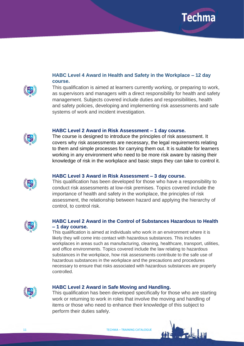

# **HABC Level 4 Award in Health and Safety in the Workplace – 12 day course.**



This qualification is aimed at learners currently working, or preparing to work, as supervisors and managers with a direct responsibility for health and safety management. Subjects covered include duties and responsibilities, health and safety policies, developing and implementing risk assessments and safe systems of work and incident investigation.



#### **HABC Level 2 Award in Risk Assessment – 1 day course.**

The course is designed to introduce the principles of risk assessment. It covers why risk assessments are necessary, the legal requirements relating to them and simple processes for carrying them out. It is suitable for learners working in any environment who need to be more risk aware by raising their knowledge of risk in the workplace and basic steps they can take to control it.

#### **HABC Level 3 Award in Risk Assessment – 3 day course.**

This qualification has been developed for those who have a responsibility to conduct risk assessments at low-risk premises. Topics covered include the importance of health and safety in the workplace, the principles of risk assessment, the relationship between hazard and applying the hierarchy of control, to control risk.



#### **HABC Level 2 Award in the Control of Substances Hazardous to Health – 1 day course.**

This qualification is aimed at individuals who work in an environment where it is likely they will come into contact with hazardous substances. This includes workplaces in areas such as manufacturing, cleaning, healthcare, transport, utilities, and office environments. Topics covered include the law relating to hazardous substances in the workplace, how risk assessments contribute to the safe use of hazardous substances in the workplace and the precautions and procedures necessary to ensure that risks associated with hazardous substances are properly controlled.



#### **HABC Level 2 Award in Safe Moving and Handling.**

This qualification has been developed specifically for those who are starting work or returning to work in roles that involve the moving and handling of items or those who need to enhance their knowledge of this subject to perform their duties safely.

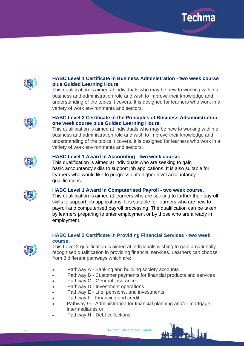



# **HABC Level 1 Certificate in Business Administration - two week course plus Guided Learning Hours.**

This qualification is aimed at individuals who may be new to working within a business and administration role and wish to improve their knowledge and understanding of the topics it covers. It is designed for learners who work in a variety of work environments and sectors.



### **HABC Level 2 Certificate in the Principles of Business Adsministration one week course plus Guided Learning Hours.**

This qualification is aimed at individuals who may be new to working within a business and administration role and wish to improve their knowledge and understanding of the topics it covers. It is designed for learners who work in a variety of work environments and sectors.



### **HABC Level 1 Award in Accounting - two week course.**

This qualification is aimed at individuals who are seeking to gain basic accountancy skills to support job applications. It is also suitable for learners who would like to progress onto higher level accountancy qualifications.



### **HABC Level 1 Award in Computerised Payroll - two week course.**

This qualification is aimed at learners who are seeking to further their payroll skills to support job applications. It is suitable for learners who are new to payroll and computerised payroll processing. The qualification can be taken by learners preparing to enter employment or by those who are already in employment.

# **HABC Level 2 Certificate in Providing Financial Services - two week course.**



This Level 2 qualification is aimed at individuals wishing to gain a nationally recognised qualification in providing financial services. Learners can choose from 8 different pathways which are:

- Pathway A Banking and building society accounts
- Pathway B Customer payments for financial products and services
- Pathway C General insurance
- Pathway D Investment operations
- Pathway E Life, pensions, and investments
- Pathway F Financing and credit
- Pathway G Administration for financial planning and/or mortgage intermediaries or
	- Pathway H Debt collections

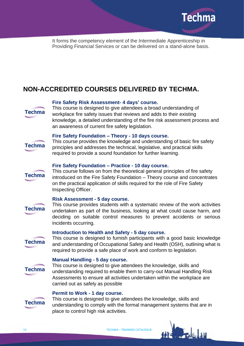

It forms the competency element of the Intermediate Apprenticeship in Providing Financial Services or can be delivered on a stand-alone basis.

# **NON-ACCREDITED COURSES DELIVERED BY TECHMA.**



#### **Fire Safety Risk Assessment- 4 days' course.**

This course is designed to give attendees a broad understanding of workplace fire safety issues that reviews and adds to their existing knowledge, a detailed understanding of the fire risk assessment process and an awareness of current fire safety legislation.

# **Techma**

**Techma** 

#### **Fire Safety Foundation – Theory - 10 days course.**

This course provides the knowledge and understanding of basic fire safety principles and addresses the technical, legislative, and practical skills required to provide a sound foundation for further learning.

#### **Fire Safety Foundation – Practice - 10 day course.**

This course follows on from the theoretical general principles of fire safety introduced on the Fire Safety Foundation – Theory course and concentrates on the practical application of skills required for the role of Fire Safety Inspecting Officer.

#### **Risk Assessment - 5 day course.**

**Techma** 

This course provides students with a systematic review of the work activities undertaken as part of the business, looking at what could cause harm, and deciding on suitable control measures to prevent accidents or serious incidents occurring.

#### **Introduction to Health and Safety - 5 day course.**

This course is designed to furnish participants with a good basic knowledge and understanding of Occupational Safety and Health (OSH), outlining what is required to provide a safe place of work and conform to legislation.

#### **Manual Handling - 5 day course.**



**Techma** 

This course is designed to give attendees the knowledge, skills and understanding required to enable them to carry-out Manual Handling Risk Assessments to ensure all activities undertaken within the workplace are carried out as safely as possible

#### **Permit to Work - 1 day course.**



This course is designed to give attendees the knowledge, skills and understanding to comply with the formal management systems that are in place to control high risk activities.

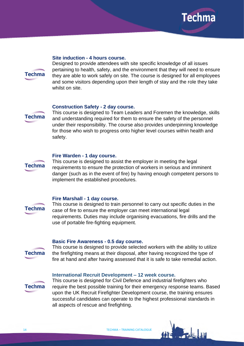

#### **Site induction - 4 hours course.**



Designed to provide attendees with site specific knowledge of all issues pertaining to health, safety, and the environment that they will need to ensure they are able to work safely on site. The course is designed for all employees and some visitors depending upon their length of stay and the role they take whilst on site.

#### **Construction Safety - 2 day course.**

**Techma** 

This course is designed to Team Leaders and Foremen the knowledge, skills and understanding required for them to ensure the safety of the personnel under their responsibility. The course also provides underpinning knowledge for those who wish to progress onto higher level courses within health and safety.

#### **Fire Warden - 1 day course.**



This course is designed to assist the employer in meeting the legal requirements to ensure the protection of workers in serious and imminent danger (such as in the event of fire) by having enough competent persons to implement the established procedures.

#### **Fire Marshall - 1 day course.**



This course is designed to train personnel to carry out specific duties in the case of fire to ensure the employer can meet international legal requirements. Duties may include organising evacuations, fire drills and the use of portable fire-fighting equipment.

# **Techma**

**Basic Fire Awareness - 0.5 day course.**

This course is designed to provide selected workers with the ability to utilize the firefighting means at their disposal, after having recognized the type of fire at hand and after having assessed that it is safe to take remedial action.

#### **International Recruit Development – 12 week course.**



This course is designed for Civil Defence and industrial firefighters who require the best possible training for their emergency response teams. Based upon the UK Recruit Firefighter Development course, the training ensures successful candidates can operate to the highest professional standards in all aspects of rescue and firefighting.